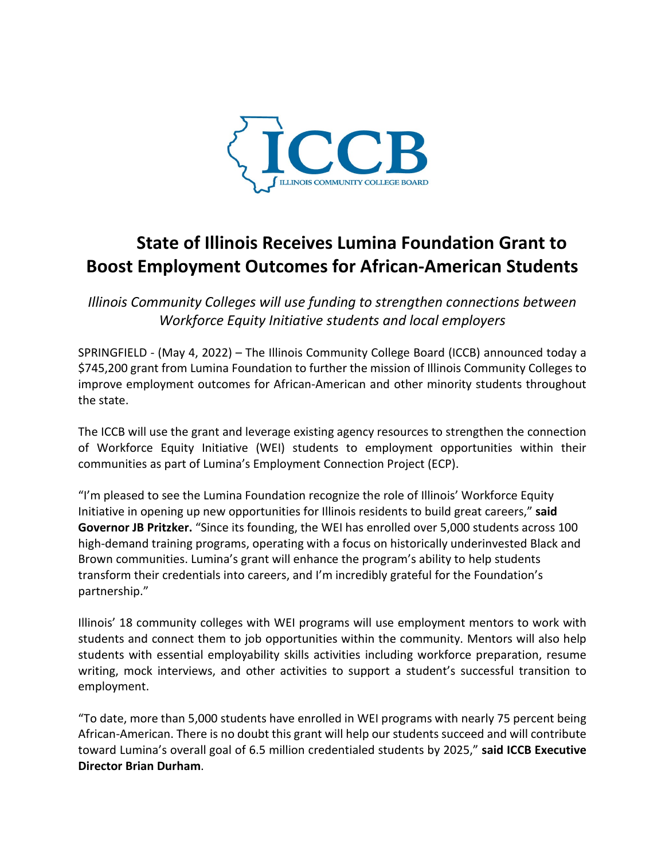

## **State of Illinois Receives Lumina Foundation Grant to Boost Employment Outcomes for African-American Students**

*Illinois Community Colleges will use funding to strengthen connections between Workforce Equity Initiative students and local employers*

SPRINGFIELD - (May 4, 2022) – The Illinois Community College Board (ICCB) announced today a \$745,200 grant from Lumina Foundation to further the mission of Illinois Community Colleges to improve employment outcomes for African-American and other minority students throughout the state.

The ICCB will use the grant and leverage existing agency resources to strengthen the connection of Workforce Equity Initiative (WEI) students to employment opportunities within their communities as part of Lumina's Employment Connection Project (ECP).

"I'm pleased to see the Lumina Foundation recognize the role of Illinois' Workforce Equity Initiative in opening up new opportunities for Illinois residents to build great careers," **said Governor JB Pritzker.** "Since its founding, the WEI has enrolled over 5,000 students across 100 high-demand training programs, operating with a focus on historically underinvested Black and Brown communities. Lumina's grant will enhance the program's ability to help students transform their credentials into careers, and I'm incredibly grateful for the Foundation's partnership."

Illinois' 18 community colleges with WEI programs will use employment mentors to work with students and connect them to job opportunities within the community. Mentors will also help students with essential employability skills activities including workforce preparation, resume writing, mock interviews, and other activities to support a student's successful transition to employment.

"To date, more than 5,000 students have enrolled in WEI programs with nearly 75 percent being African-American. There is no doubt this grant will help our students succeed and will contribute toward Lumina's overall goal of 6.5 million credentialed students by 2025," **said ICCB Executive Director Brian Durham**.